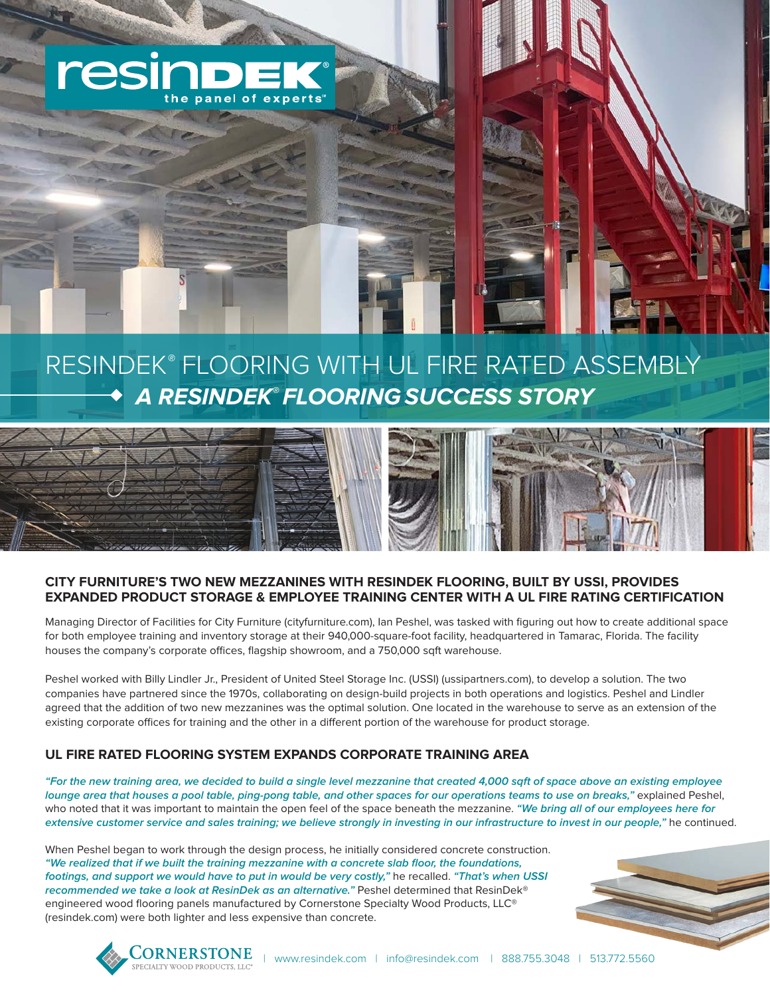

# RESINDEK**®** FLOORING WITH UL FIRE RATED ASSEMBLY  **A RESINDEK® FLOORING SUCCESS STORY**



## **CITY FURNITURE'S TWO NEW MEZZANINES WITH RESINDEK FLOORING, BUILT BY USSI, PROVIDES EXPANDED PRODUCT STORAGE & EMPLOYEE TRAINING CENTER WITH A UL FIRE RATING CERTIFICATION**

Managing Director of Facilities for City Furniture (cityfurniture.com), Ian Peshel, was tasked with figuring out how to create additional space for both employee training and inventory storage at their 940,000-square-foot facility, headquartered in Tamarac, Florida. The facility houses the company's corporate offices, flagship showroom, and a 750,000 sqft warehouse.

Peshel worked with Billy Lindler Jr., President of United Steel Storage Inc. (USSI) (ussipartners.com), to develop a solution. The two companies have partnered since the 1970s, collaborating on design-build projects in both operations and logistics. Peshel and Lindler agreed that the addition of two new mezzanines was the optimal solution. One located in the warehouse to serve as an extension of the existing corporate offices for training and the other in a different portion of the warehouse for product storage.

## **UL FIRE RATED FLOORING SYSTEM EXPANDS CORPORATE TRAINING AREA**

**"For the new training area, we decided to build a single level mezzanine that created 4,000 sqft of space above an existing employee lounge area that houses a pool table, ping-pong table, and other spaces for our operations teams to use on breaks,"** explained Peshel, who noted that it was important to maintain the open feel of the space beneath the mezzanine. **"We bring all of our employees here for extensive customer service and sales training; we believe strongly in investing in our infrastructure to invest in our people,"** he continued.

When Peshel began to work through the design process, he initially considered concrete construction. **"We realized that if we built the training mezzanine with a concrete slab floor, the foundations, footings, and support we would have to put in would be very costly,"** he recalled. **"That's when USSI recommended we take a look at ResinDek as an alternative."** Peshel determined that ResinDek® engineered wood flooring panels manufactured by Cornerstone Specialty Wood Products, LLC® (resindek.com) were both lighter and less expensive than concrete.